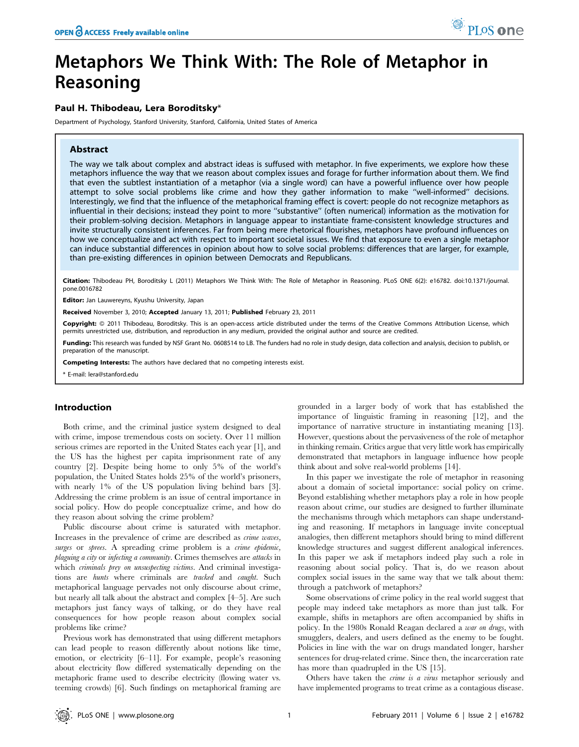# Metaphors We Think With: The Role of Metaphor in Reasoning

## Paul H. Thibodeau, Lera Boroditsky\*

Department of Psychology, Stanford University, Stanford, California, United States of America

## Abstract

The way we talk about complex and abstract ideas is suffused with metaphor. In five experiments, we explore how these metaphors influence the way that we reason about complex issues and forage for further information about them. We find that even the subtlest instantiation of a metaphor (via a single word) can have a powerful influence over how people attempt to solve social problems like crime and how they gather information to make ''well-informed'' decisions. Interestingly, we find that the influence of the metaphorical framing effect is covert: people do not recognize metaphors as influential in their decisions; instead they point to more ''substantive'' (often numerical) information as the motivation for their problem-solving decision. Metaphors in language appear to instantiate frame-consistent knowledge structures and invite structurally consistent inferences. Far from being mere rhetorical flourishes, metaphors have profound influences on how we conceptualize and act with respect to important societal issues. We find that exposure to even a single metaphor can induce substantial differences in opinion about how to solve social problems: differences that are larger, for example, than pre-existing differences in opinion between Democrats and Republicans.

Citation: Thibodeau PH, Boroditsky L (2011) Metaphors We Think With: The Role of Metaphor in Reasoning. PLoS ONE 6(2): e16782. doi:10.1371/journal. pone.0016782

Editor: Jan Lauwereyns, Kyushu University, Japan

Received November 3, 2010; Accepted January 13, 2011; Published February 23, 2011

Copyright: © 2011 Thibodeau, Boroditsky. This is an open-access article distributed under the terms of the Creative Commons Attribution License, which permits unrestricted use, distribution, and reproduction in any medium, provided the original author and source are credited.

Funding: This research was funded by NSF Grant No. 0608514 to LB. The funders had no role in study design, data collection and analysis, decision to publish, or preparation of the manuscript.

Competing Interests: The authors have declared that no competing interests exist.

\* E-mail: lera@stanford.edu

## Introduction

Both crime, and the criminal justice system designed to deal with crime, impose tremendous costs on society. Over 11 million serious crimes are reported in the United States each year [1], and the US has the highest per capita imprisonment rate of any country [2]. Despite being home to only 5% of the world's population, the United States holds 25% of the world's prisoners, with nearly 1% of the US population living behind bars [3]. Addressing the crime problem is an issue of central importance in social policy. How do people conceptualize crime, and how do they reason about solving the crime problem?

Public discourse about crime is saturated with metaphor. Increases in the prevalence of crime are described as crime waves, surges or *sprees*. A spreading crime problem is a *crime epidemic*, plaguing a city or infecting a community. Crimes themselves are attacks in which criminals prey on unsuspecting victims. And criminal investigations are hunts where criminals are tracked and caught. Such metaphorical language pervades not only discourse about crime, but nearly all talk about the abstract and complex [4–5]. Are such metaphors just fancy ways of talking, or do they have real consequences for how people reason about complex social problems like crime?

Previous work has demonstrated that using different metaphors can lead people to reason differently about notions like time, emotion, or electricity [6–11]. For example, people's reasoning about electricity flow differed systematically depending on the metaphoric frame used to describe electricity (flowing water vs. teeming crowds) [6]. Such findings on metaphorical framing are

grounded in a larger body of work that has established the importance of linguistic framing in reasoning [12], and the importance of narrative structure in instantiating meaning [13]. However, questions about the pervasiveness of the role of metaphor in thinking remain. Critics argue that very little work has empirically demonstrated that metaphors in language influence how people think about and solve real-world problems [14].

In this paper we investigate the role of metaphor in reasoning about a domain of societal importance: social policy on crime. Beyond establishing whether metaphors play a role in how people reason about crime, our studies are designed to further illuminate the mechanisms through which metaphors can shape understanding and reasoning. If metaphors in language invite conceptual analogies, then different metaphors should bring to mind different knowledge structures and suggest different analogical inferences. In this paper we ask if metaphors indeed play such a role in reasoning about social policy. That is, do we reason about complex social issues in the same way that we talk about them: through a patchwork of metaphors?

Some observations of crime policy in the real world suggest that people may indeed take metaphors as more than just talk. For example, shifts in metaphors are often accompanied by shifts in policy. In the 1980s Ronald Reagan declared a war on drugs, with smugglers, dealers, and users defined as the enemy to be fought. Policies in line with the war on drugs mandated longer, harsher sentences for drug-related crime. Since then, the incarceration rate has more than quadrupled in the US [15].

Others have taken the *crime is a virus* metaphor seriously and have implemented programs to treat crime as a contagious disease.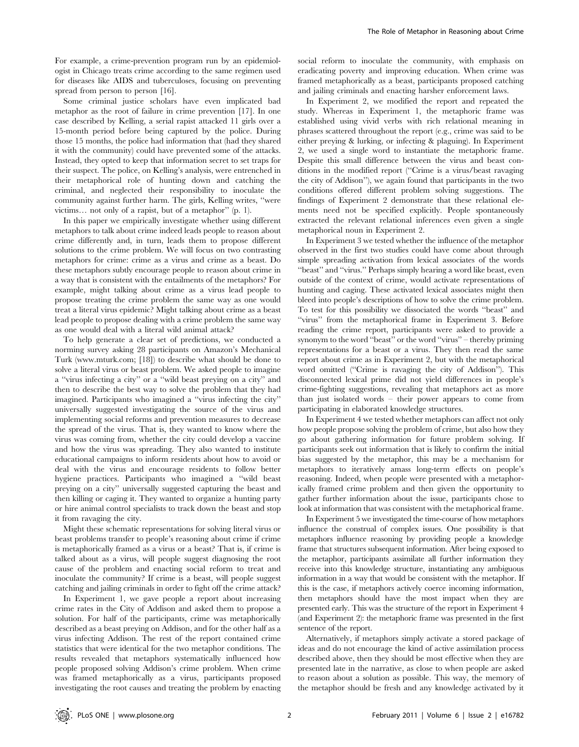For example, a crime-prevention program run by an epidemiologist in Chicago treats crime according to the same regimen used for diseases like AIDS and tuberculoses, focusing on preventing spread from person to person [16].

Some criminal justice scholars have even implicated bad metaphor as the root of failure in crime prevention [17]. In one case described by Kelling, a serial rapist attacked 11 girls over a 15-month period before being captured by the police. During those 15 months, the police had information that (had they shared it with the community) could have prevented some of the attacks. Instead, they opted to keep that information secret to set traps for their suspect. The police, on Kelling's analysis, were entrenched in their metaphorical role of hunting down and catching the criminal, and neglected their responsibility to inoculate the community against further harm. The girls, Kelling writes, ''were victims… not only of a rapist, but of a metaphor'' (p. 1).

In this paper we empirically investigate whether using different metaphors to talk about crime indeed leads people to reason about crime differently and, in turn, leads them to propose different solutions to the crime problem. We will focus on two contrasting metaphors for crime: crime as a virus and crime as a beast. Do these metaphors subtly encourage people to reason about crime in a way that is consistent with the entailments of the metaphors? For example, might talking about crime as a virus lead people to propose treating the crime problem the same way as one would treat a literal virus epidemic? Might talking about crime as a beast lead people to propose dealing with a crime problem the same way as one would deal with a literal wild animal attack?

To help generate a clear set of predictions, we conducted a norming survey asking 28 participants on Amazon's Mechanical Turk (www.mturk.com; [18]) to describe what should be done to solve a literal virus or beast problem. We asked people to imagine a ''virus infecting a city'' or a ''wild beast preying on a city'' and then to describe the best way to solve the problem that they had imagined. Participants who imagined a ''virus infecting the city'' universally suggested investigating the source of the virus and implementing social reforms and prevention measures to decrease the spread of the virus. That is, they wanted to know where the virus was coming from, whether the city could develop a vaccine and how the virus was spreading. They also wanted to institute educational campaigns to inform residents about how to avoid or deal with the virus and encourage residents to follow better hygiene practices. Participants who imagined a ''wild beast preying on a city'' universally suggested capturing the beast and then killing or caging it. They wanted to organize a hunting party or hire animal control specialists to track down the beast and stop it from ravaging the city.

Might these schematic representations for solving literal virus or beast problems transfer to people's reasoning about crime if crime is metaphorically framed as a virus or a beast? That is, if crime is talked about as a virus, will people suggest diagnosing the root cause of the problem and enacting social reform to treat and inoculate the community? If crime is a beast, will people suggest catching and jailing criminals in order to fight off the crime attack?

In Experiment 1, we gave people a report about increasing crime rates in the City of Addison and asked them to propose a solution. For half of the participants, crime was metaphorically described as a beast preying on Addison, and for the other half as a virus infecting Addison. The rest of the report contained crime statistics that were identical for the two metaphor conditions. The results revealed that metaphors systematically influenced how people proposed solving Addison's crime problem. When crime was framed metaphorically as a virus, participants proposed investigating the root causes and treating the problem by enacting social reform to inoculate the community, with emphasis on eradicating poverty and improving education. When crime was framed metaphorically as a beast, participants proposed catching and jailing criminals and enacting harsher enforcement laws.

In Experiment 2, we modified the report and repeated the study. Whereas in Experiment 1, the metaphoric frame was established using vivid verbs with rich relational meaning in phrases scattered throughout the report (e.g., crime was said to be either preying & lurking, or infecting & plaguing). In Experiment 2, we used a single word to instantiate the metaphoric frame. Despite this small difference between the virus and beast conditions in the modified report (''Crime is a virus/beast ravaging the city of Addison''), we again found that participants in the two conditions offered different problem solving suggestions. The findings of Experiment 2 demonstrate that these relational elements need not be specified explicitly. People spontaneously extracted the relevant relational inferences even given a single metaphorical noun in Experiment 2.

In Experiment 3 we tested whether the influence of the metaphor observed in the first two studies could have come about through simple spreading activation from lexical associates of the words ''beast'' and ''virus.'' Perhaps simply hearing a word like beast, even outside of the context of crime, would activate representations of hunting and caging. These activated lexical associates might then bleed into people's descriptions of how to solve the crime problem. To test for this possibility we dissociated the words ''beast'' and ''virus'' from the metaphorical frame in Experiment 3. Before reading the crime report, participants were asked to provide a synonym to the word ''beast'' or the word ''virus'' – thereby priming representations for a beast or a virus. They then read the same report about crime as in Experiment 2, but with the metaphorical word omitted (''Crime is ravaging the city of Addison''). This disconnected lexical prime did not yield differences in people's crime-fighting suggestions, revealing that metaphors act as more than just isolated words – their power appears to come from participating in elaborated knowledge structures.

In Experiment 4 we tested whether metaphors can affect not only how people propose solving the problem of crime, but also how they go about gathering information for future problem solving. If participants seek out information that is likely to confirm the initial bias suggested by the metaphor, this may be a mechanism for metaphors to iteratively amass long-term effects on people's reasoning. Indeed, when people were presented with a metaphorically framed crime problem and then given the opportunity to gather further information about the issue, participants chose to look at information that was consistent with the metaphorical frame.

In Experiment 5 we investigated the time-course of how metaphors influence the construal of complex issues. One possibility is that metaphors influence reasoning by providing people a knowledge frame that structures subsequent information. After being exposed to the metaphor, participants assimilate all further information they receive into this knowledge structure, instantiating any ambiguous information in a way that would be consistent with the metaphor. If this is the case, if metaphors actively coerce incoming information, then metaphors should have the most impact when they are presented early. This was the structure of the report in Experiment 4 (and Experiment 2): the metaphoric frame was presented in the first sentence of the report.

Alternatively, if metaphors simply activate a stored package of ideas and do not encourage the kind of active assimilation process described above, then they should be most effective when they are presented late in the narrative, as close to when people are asked to reason about a solution as possible. This way, the memory of the metaphor should be fresh and any knowledge activated by it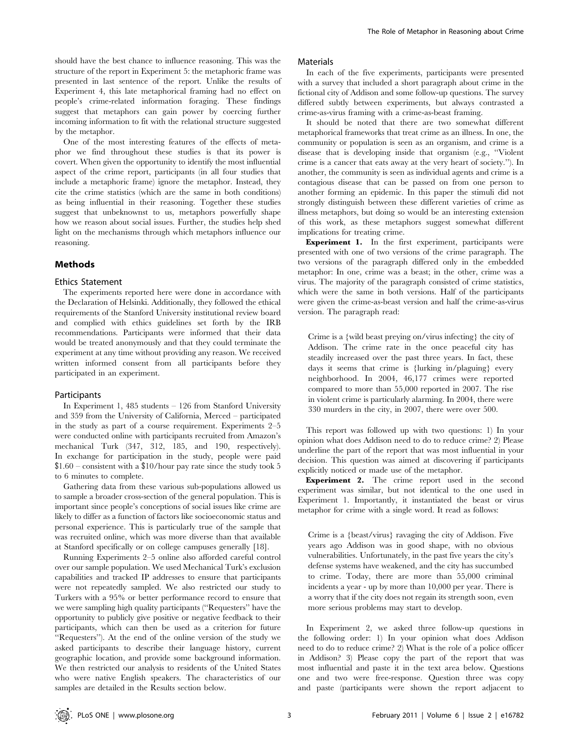should have the best chance to influence reasoning. This was the structure of the report in Experiment 5: the metaphoric frame was presented in last sentence of the report. Unlike the results of Experiment 4, this late metaphorical framing had no effect on people's crime-related information foraging. These findings suggest that metaphors can gain power by coercing further incoming information to fit with the relational structure suggested by the metaphor.

One of the most interesting features of the effects of metaphor we find throughout these studies is that its power is covert. When given the opportunity to identify the most influential aspect of the crime report, participants (in all four studies that include a metaphoric frame) ignore the metaphor. Instead, they cite the crime statistics (which are the same in both conditions) as being influential in their reasoning. Together these studies suggest that unbeknownst to us, metaphors powerfully shape how we reason about social issues. Further, the studies help shed light on the mechanisms through which metaphors influence our reasoning.

# Methods

## Ethics Statement

The experiments reported here were done in accordance with the Declaration of Helsinki. Additionally, they followed the ethical requirements of the Stanford University institutional review board and complied with ethics guidelines set forth by the IRB recommendations. Participants were informed that their data would be treated anonymously and that they could terminate the experiment at any time without providing any reason. We received written informed consent from all participants before they participated in an experiment.

#### Participants

In Experiment 1, 485 students – 126 from Stanford University and 359 from the University of California, Merced – participated in the study as part of a course requirement. Experiments 2–5 were conducted online with participants recruited from Amazon's mechanical Turk (347, 312, 185, and 190, respectively). In exchange for participation in the study, people were paid  $$1.60$  – consistent with a  $$10/h$ our pay rate since the study took 5 to 6 minutes to complete.

Gathering data from these various sub-populations allowed us to sample a broader cross-section of the general population. This is important since people's conceptions of social issues like crime are likely to differ as a function of factors like socioeconomic status and personal experience. This is particularly true of the sample that was recruited online, which was more diverse than that available at Stanford specifically or on college campuses generally [18].

Running Experiments 2–5 online also afforded careful control over our sample population. We used Mechanical Turk's exclusion capabilities and tracked IP addresses to ensure that participants were not repeatedly sampled. We also restricted our study to Turkers with a 95% or better performance record to ensure that we were sampling high quality participants (''Requesters'' have the opportunity to publicly give positive or negative feedback to their participants, which can then be used as a criterion for future ''Requesters''). At the end of the online version of the study we asked participants to describe their language history, current geographic location, and provide some background information. We then restricted our analysis to residents of the United States who were native English speakers. The characteristics of our samples are detailed in the Results section below.

#### Materials

In each of the five experiments, participants were presented with a survey that included a short paragraph about crime in the fictional city of Addison and some follow-up questions. The survey differed subtly between experiments, but always contrasted a crime-as-virus framing with a crime-as-beast framing.

It should be noted that there are two somewhat different metaphorical frameworks that treat crime as an illness. In one, the community or population is seen as an organism, and crime is a disease that is developing inside that organism (e.g., ''Violent crime is a cancer that eats away at the very heart of society.''). In another, the community is seen as individual agents and crime is a contagious disease that can be passed on from one person to another forming an epidemic. In this paper the stimuli did not strongly distinguish between these different varieties of crime as illness metaphors, but doing so would be an interesting extension of this work, as these metaphors suggest somewhat different implications for treating crime.

Experiment 1. In the first experiment, participants were presented with one of two versions of the crime paragraph. The two versions of the paragraph differed only in the embedded metaphor: In one, crime was a beast; in the other, crime was a virus. The majority of the paragraph consisted of crime statistics, which were the same in both versions. Half of the participants were given the crime-as-beast version and half the crime-as-virus version. The paragraph read:

Crime is a {wild beast preying on/virus infecting} the city of Addison. The crime rate in the once peaceful city has steadily increased over the past three years. In fact, these days it seems that crime is {lurking in/plaguing} every neighborhood. In 2004, 46,177 crimes were reported compared to more than 55,000 reported in 2007. The rise in violent crime is particularly alarming. In 2004, there were 330 murders in the city, in 2007, there were over 500.

This report was followed up with two questions: 1) In your opinion what does Addison need to do to reduce crime? 2) Please underline the part of the report that was most influential in your decision. This question was aimed at discovering if participants explicitly noticed or made use of the metaphor.

Experiment 2. The crime report used in the second experiment was similar, but not identical to the one used in Experiment 1. Importantly, it instantiated the beast or virus metaphor for crime with a single word. It read as follows:

Crime is a {beast/virus} ravaging the city of Addison. Five years ago Addison was in good shape, with no obvious vulnerabilities. Unfortunately, in the past five years the city's defense systems have weakened, and the city has succumbed to crime. Today, there are more than 55,000 criminal incidents a year - up by more than 10,000 per year. There is a worry that if the city does not regain its strength soon, even more serious problems may start to develop.

In Experiment 2, we asked three follow-up questions in the following order: 1) In your opinion what does Addison need to do to reduce crime? 2) What is the role of a police officer in Addison? 3) Please copy the part of the report that was most influential and paste it in the text area below. Questions one and two were free-response. Question three was copy and paste (participants were shown the report adjacent to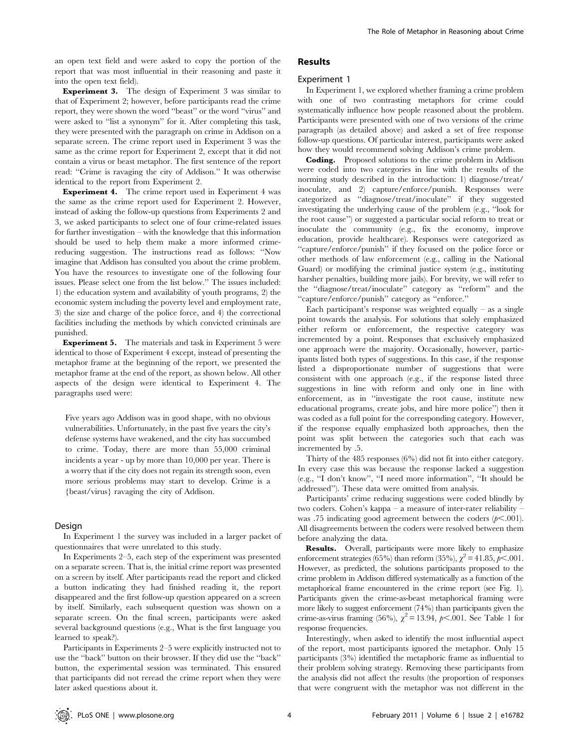an open text field and were asked to copy the portion of the report that was most influential in their reasoning and paste it into the open text field).

Experiment 3. The design of Experiment 3 was similar to that of Experiment 2; however, before participants read the crime report, they were shown the word ''beast'' or the word ''virus'' and were asked to "list a synonym" for it. After completing this task, they were presented with the paragraph on crime in Addison on a separate screen. The crime report used in Experiment 3 was the same as the crime report for Experiment 2, except that it did not contain a virus or beast metaphor. The first sentence of the report read: ''Crime is ravaging the city of Addison.'' It was otherwise identical to the report from Experiment 2.

Experiment 4. The crime report used in Experiment 4 was the same as the crime report used for Experiment 2. However, instead of asking the follow-up questions from Experiments 2 and 3, we asked participants to select one of four crime-related issues for further investigation – with the knowledge that this information should be used to help them make a more informed crimereducing suggestion. The instructions read as follows: ''Now imagine that Addison has consulted you about the crime problem. You have the resources to investigate one of the following four issues. Please select one from the list below.'' The issues included: 1) the education system and availability of youth programs, 2) the economic system including the poverty level and employment rate, 3) the size and charge of the police force, and 4) the correctional facilities including the methods by which convicted criminals are punished.

Experiment 5. The materials and task in Experiment 5 were identical to those of Experiment 4 except, instead of presenting the metaphor frame at the beginning of the report, we presented the metaphor frame at the end of the report, as shown below. All other aspects of the design were identical to Experiment 4. The paragraphs used were:

Five years ago Addison was in good shape, with no obvious vulnerabilities. Unfortunately, in the past five years the city's defense systems have weakened, and the city has succumbed to crime. Today, there are more than 55,000 criminal incidents a year - up by more than 10,000 per year. There is a worry that if the city does not regain its strength soon, even more serious problems may start to develop. Crime is a {beast/virus} ravaging the city of Addison.

#### Design

In Experiment 1 the survey was included in a larger packet of questionnaires that were unrelated to this study.

In Experiments 2–5, each step of the experiment was presented on a separate screen. That is, the initial crime report was presented on a screen by itself. After participants read the report and clicked a button indicating they had finished reading it, the report disappeared and the first follow-up question appeared on a screen by itself. Similarly, each subsequent question was shown on a separate screen. On the final screen, participants were asked several background questions (e.g., What is the first language you learned to speak?).

Participants in Experiments 2–5 were explicitly instructed not to use the ''back'' button on their browser. If they did use the ''back'' button, the experimental session was terminated. This ensured that participants did not reread the crime report when they were later asked questions about it.

## Results

#### Experiment 1

In Experiment 1, we explored whether framing a crime problem with one of two contrasting metaphors for crime could systematically influence how people reasoned about the problem. Participants were presented with one of two versions of the crime paragraph (as detailed above) and asked a set of free response follow-up questions. Of particular interest, participants were asked how they would recommend solving Addison's crime problem.

Coding. Proposed solutions to the crime problem in Addison were coded into two categories in line with the results of the norming study described in the introduction: 1) diagnose/treat/ inoculate, and 2) capture/enforce/punish. Responses were categorized as ''diagnose/treat/inoculate'' if they suggested investigating the underlying cause of the problem (e.g., ''look for the root cause'') or suggested a particular social reform to treat or inoculate the community (e.g., fix the economy, improve education, provide healthcare). Responses were categorized as "capture/enforce/punish" if they focused on the police force or other methods of law enforcement (e.g., calling in the National Guard) or modifying the criminal justice system (e.g., instituting harsher penalties, building more jails). For brevity, we will refer to the ''diagnose/treat/inoculate'' category as ''reform'' and the ''capture/enforce/punish'' category as ''enforce.''

Each participant's response was weighted equally – as a single point towards the analysis. For solutions that solely emphasized either reform or enforcement, the respective category was incremented by a point. Responses that exclusively emphasized one approach were the majority. Occasionally, however, participants listed both types of suggestions. In this case, if the response listed a disproportionate number of suggestions that were consistent with one approach (e.g., if the response listed three suggestions in line with reform and only one in line with enforcement, as in ''investigate the root cause, institute new educational programs, create jobs, and hire more police'') then it was coded as a full point for the corresponding category. However, if the response equally emphasized both approaches, then the point was split between the categories such that each was incremented by .5.

Thirty of the 485 responses (6%) did not fit into either category. In every case this was because the response lacked a suggestion (e.g., ''I don't know'', ''I need more information'', ''It should be addressed''). These data were omitted from analysis.

Participants' crime reducing suggestions were coded blindly by two coders. Cohen's kappa – a measure of inter-rater reliability – was .75 indicating good agreement between the coders  $(p<.001)$ . All disagreements between the coders were resolved between them before analyzing the data.

Results. Overall, participants were more likely to emphasize enforcement strategies (65%) than reform (35%),  $\chi^2$  = 41.85,  $p$ <.001. However, as predicted, the solutions participants proposed to the crime problem in Addison differed systematically as a function of the metaphorical frame encountered in the crime report (see Fig. 1). Participants given the crime-as-beast metaphorical framing were more likely to suggest enforcement (74%) than participants given the crime-as-virus framing (56%),  $\chi^2 = 13.94$ ,  $p<.001$ . See Table 1 for response frequencies.

Interestingly, when asked to identify the most influential aspect of the report, most participants ignored the metaphor. Only 15 participants (3%) identified the metaphoric frame as influential to their problem solving strategy. Removing these participants from the analysis did not affect the results (the proportion of responses that were congruent with the metaphor was not different in the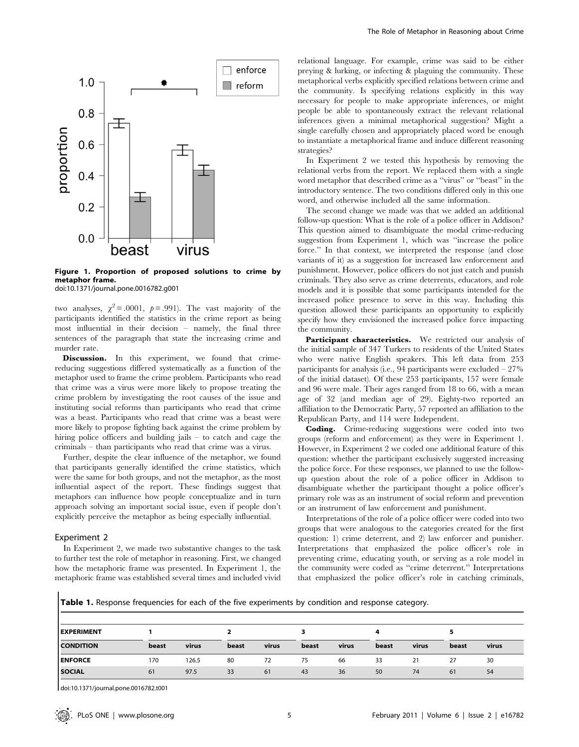

Figure 1. Proportion of proposed solutions to crime by metaphor frame. doi:10.1371/journal.pone.0016782.g001

two analyses,  $\gamma^2 = .0001$ ,  $\rho = .991$ ). The vast majority of the participants identified the statistics in the crime report as being most influential in their decision – namely, the final three sentences of the paragraph that state the increasing crime and murder rate.

Discussion. In this experiment, we found that crimereducing suggestions differed systematically as a function of the metaphor used to frame the crime problem. Participants who read that crime was a virus were more likely to propose treating the crime problem by investigating the root causes of the issue and instituting social reforms than participants who read that crime was a beast. Participants who read that crime was a beast were more likely to propose fighting back against the crime problem by hiring police officers and building jails – to catch and cage the criminals – than participants who read that crime was a virus.

Further, despite the clear influence of the metaphor, we found that participants generally identified the crime statistics, which were the same for both groups, and not the metaphor, as the most influential aspect of the report. These findings suggest that metaphors can influence how people conceptualize and in turn approach solving an important social issue, even if people don't explicitly perceive the metaphor as being especially influential.

#### Experiment 2

In Experiment 2, we made two substantive changes to the task to further test the role of metaphor in reasoning. First, we changed how the metaphoric frame was presented. In Experiment 1, the metaphoric frame was established several times and included vivid relational language. For example, crime was said to be either preying & lurking, or infecting & plaguing the community. These metaphorical verbs explicitly specified relations between crime and the community. Is specifying relations explicitly in this way necessary for people to make appropriate inferences, or might people be able to spontaneously extract the relevant relational inferences given a minimal metaphorical suggestion? Might a single carefully chosen and appropriately placed word be enough to instantiate a metaphorical frame and induce different reasoning strategies?

In Experiment 2 we tested this hypothesis by removing the relational verbs from the report. We replaced them with a single word metaphor that described crime as a ''virus'' or ''beast'' in the introductory sentence. The two conditions differed only in this one word, and otherwise included all the same information.

The second change we made was that we added an additional follow-up question: What is the role of a police officer in Addison? This question aimed to disambiguate the modal crime-reducing suggestion from Experiment 1, which was ''increase the police force.'' In that context, we interpreted the response (and close variants of it) as a suggestion for increased law enforcement and punishment. However, police officers do not just catch and punish criminals. They also serve as crime deterrents, educators, and role models and it is possible that some participants intended for the increased police presence to serve in this way. Including this question allowed these participants an opportunity to explicitly specify how they envisioned the increased police force impacting the community.

Participant characteristics. We restricted our analysis of the initial sample of 347 Turkers to residents of the United States who were native English speakers. This left data from 253 participants for analysis (i.e., 94 participants were excluded  $-27\%$ of the initial dataset). Of these 253 participants, 157 were female and 96 were male. Their ages ranged from 18 to 66, with a mean age of 32 (and median age of 29). Eighty-two reported an affiliation to the Democratic Party, 57 reported an affiliation to the Republican Party, and 114 were Independent.

Coding. Crime-reducing suggestions were coded into two groups (reform and enforcement) as they were in Experiment 1. However, in Experiment 2 we coded one additional feature of this question: whether the participant exclusively suggested increasing the police force. For these responses, we planned to use the followup question about the role of a police officer in Addison to disambiguate whether the participant thought a police officer's primary role was as an instrument of social reform and prevention or an instrument of law enforcement and punishment.

Interpretations of the role of a police officer were coded into two groups that were analogous to the categories created for the first question: 1) crime deterrent, and 2) law enforcer and punisher. Interpretations that emphasized the police officer's role in preventing crime, educating youth, or serving as a role model in the community were coded as ''crime deterrent.'' Interpretations that emphasized the police officer's role in catching criminals,

Table 1. Response frequencies for each of the five experiments by condition and response category.

| <b>EXPERIMENT</b> |       |       |       |       |       |       |       |       |       |       |
|-------------------|-------|-------|-------|-------|-------|-------|-------|-------|-------|-------|
| <b>CONDITION</b>  | beast | virus | beast | virus | beast | virus | beast | virus | beast | virus |
| <b>ENFORCE</b>    | 170   | 126.5 | 80    | 72    | 75    | 66    | 33    | 21    | 27    | 30    |
| <b>SOCIAL</b>     | 61    | 97.5  | 33    | 61    | 43    | 36    | 50    | 74    | 61    | 54    |

doi:10.1371/journal.pone.0016782.t001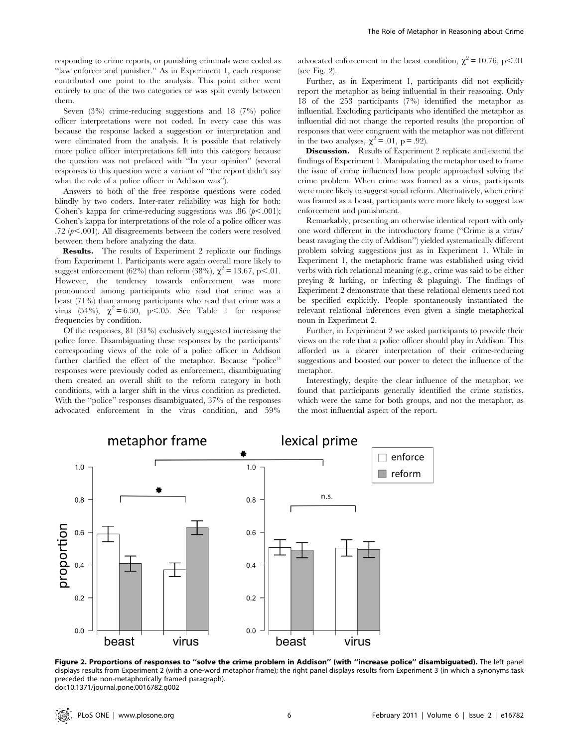responding to crime reports, or punishing criminals were coded as ''law enforcer and punisher.'' As in Experiment 1, each response contributed one point to the analysis. This point either went entirely to one of the two categories or was split evenly between them.

Seven (3%) crime-reducing suggestions and 18 (7%) police officer interpretations were not coded. In every case this was because the response lacked a suggestion or interpretation and were eliminated from the analysis. It is possible that relatively more police officer interpretations fell into this category because the question was not prefaced with ''In your opinion'' (several responses to this question were a variant of ''the report didn't say what the role of a police officer in Addison was'').

Answers to both of the free response questions were coded blindly by two coders. Inter-rater reliability was high for both: Cohen's kappa for crime-reducing suggestions was .86  $(p<.001)$ ; Cohen's kappa for interpretations of the role of a police officer was .72 ( $p<.001$ ). All disagreements between the coders were resolved between them before analyzing the data.

Results. The results of Experiment 2 replicate our findings from Experiment 1. Participants were again overall more likely to suggest enforcement (62%) than reform (38%),  $\chi^2 = 13.67$ , p $< .01$ . However, the tendency towards enforcement was more pronounced among participants who read that crime was a beast (71%) than among participants who read that crime was a virus (54%),  $\chi^2 = 6.50$ , p<.05. See Table 1 for response frequencies by condition.

Of the responses, 81 (31%) exclusively suggested increasing the police force. Disambiguating these responses by the participants' corresponding views of the role of a police officer in Addison further clarified the effect of the metaphor. Because ''police'' responses were previously coded as enforcement, disambiguating them created an overall shift to the reform category in both conditions, with a larger shift in the virus condition as predicted. With the ''police'' responses disambiguated, 37% of the responses advocated enforcement in the virus condition, and 59% advocated enforcement in the beast condition,  $\chi^2 = 10.76$ , p<.01 (see Fig. 2).

Further, as in Experiment 1, participants did not explicitly report the metaphor as being influential in their reasoning. Only 18 of the 253 participants (7%) identified the metaphor as influential. Excluding participants who identified the metaphor as influential did not change the reported results (the proportion of responses that were congruent with the metaphor was not different in the two analyses,  $\chi^2 = .01$ , p = .92).

Discussion. Results of Experiment 2 replicate and extend the findings of Experiment 1. Manipulating the metaphor used to frame the issue of crime influenced how people approached solving the crime problem. When crime was framed as a virus, participants were more likely to suggest social reform. Alternatively, when crime was framed as a beast, participants were more likely to suggest law enforcement and punishment.

Remarkably, presenting an otherwise identical report with only one word different in the introductory frame (''Crime is a virus/ beast ravaging the city of Addison'') yielded systematically different problem solving suggestions just as in Experiment 1. While in Experiment 1, the metaphoric frame was established using vivid verbs with rich relational meaning (e.g., crime was said to be either preying & lurking, or infecting & plaguing). The findings of Experiment 2 demonstrate that these relational elements need not be specified explicitly. People spontaneously instantiated the relevant relational inferences even given a single metaphorical noun in Experiment 2.

Further, in Experiment 2 we asked participants to provide their views on the role that a police officer should play in Addison. This afforded us a clearer interpretation of their crime-reducing suggestions and boosted our power to detect the influence of the metaphor.

Interestingly, despite the clear influence of the metaphor, we found that participants generally identified the crime statistics, which were the same for both groups, and not the metaphor, as the most influential aspect of the report.



Figure 2. Proportions of responses to ''solve the crime problem in Addison'' (with ''increase police'' disambiguated). The left panel displays results from Experiment 2 (with a one-word metaphor frame); the right panel displays results from Experiment 3 (in which a synonyms task preceded the non-metaphorically framed paragraph). doi:10.1371/journal.pone.0016782.g002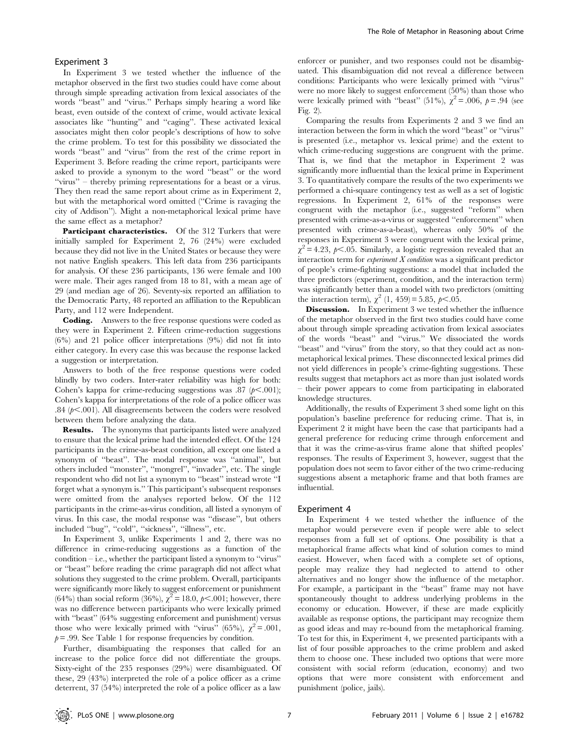#### Experiment 3

In Experiment 3 we tested whether the influence of the metaphor observed in the first two studies could have come about through simple spreading activation from lexical associates of the words ''beast'' and ''virus.'' Perhaps simply hearing a word like beast, even outside of the context of crime, would activate lexical associates like ''hunting'' and ''caging''. These activated lexical associates might then color people's descriptions of how to solve the crime problem. To test for this possibility we dissociated the words ''beast'' and ''virus'' from the rest of the crime report in Experiment 3. Before reading the crime report, participants were asked to provide a synonym to the word ''beast'' or the word ''virus'' – thereby priming representations for a beast or a virus. They then read the same report about crime as in Experiment 2, but with the metaphorical word omitted (''Crime is ravaging the city of Addison''). Might a non-metaphorical lexical prime have the same effect as a metaphor?

Participant characteristics. Of the 312 Turkers that were initially sampled for Experiment 2, 76 (24%) were excluded because they did not live in the United States or because they were not native English speakers. This left data from 236 participants for analysis. Of these 236 participants, 136 were female and 100 were male. Their ages ranged from 18 to 81, with a mean age of 29 (and median age of 26). Seventy-six reported an affiliation to the Democratic Party, 48 reported an affiliation to the Republican Party, and 112 were Independent.

Coding. Answers to the free response questions were coded as they were in Experiment 2. Fifteen crime-reduction suggestions (6%) and 21 police officer interpretations (9%) did not fit into either category. In every case this was because the response lacked a suggestion or interpretation.

Answers to both of the free response questions were coded blindly by two coders. Inter-rater reliability was high for both: Cohen's kappa for crime-reducing suggestions was .87  $(p<.001)$ ; Cohen's kappa for interpretations of the role of a police officer was .84 ( $p<.001$ ). All disagreements between the coders were resolved between them before analyzing the data.

Results. The synonyms that participants listed were analyzed to ensure that the lexical prime had the intended effect. Of the 124 participants in the crime-as-beast condition, all except one listed a synonym of ''beast''. The modal response was ''animal'', but others included ''monster'', ''mongrel'', ''invader'', etc. The single respondent who did not list a synonym to ''beast'' instead wrote ''I forget what a synonym is.'' This participant's subsequent responses were omitted from the analyses reported below. Of the 112 participants in the crime-as-virus condition, all listed a synonym of virus. In this case, the modal response was ''disease'', but others included ''bug'', ''cold'', ''sickness'', ''illness'', etc.

In Experiment 3, unlike Experiments 1 and 2, there was no difference in crime-reducing suggestions as a function of the  $condition - i.e., whether the participant listed a synonym to "virus"$ or ''beast'' before reading the crime paragraph did not affect what solutions they suggested to the crime problem. Overall, participants were significantly more likely to suggest enforcement or punishment (64%) than social reform (36%),  $\chi^2 = 18.0, \, \rho \lt .001$ ; however, there was no difference between participants who were lexically primed with ''beast'' (64% suggesting enforcement and punishment) versus those who were lexically primed with "virus" (65%),  $\chi^2 = .001$ ,  $p = .99$ . See Table 1 for response frequencies by condition.

Further, disambiguating the responses that called for an increase to the police force did not differentiate the groups. Sixty-eight of the 235 responses (29%) were disambiguated. Of these, 29 (43%) interpreted the role of a police officer as a crime deterrent, 37 (54%) interpreted the role of a police officer as a law

enforcer or punisher, and two responses could not be disambiguated. This disambiguation did not reveal a difference between conditions: Participants who were lexically primed with ''virus'' were no more likely to suggest enforcement (50%) than those who were lexically primed with "beast" (51%),  $\chi^2 = .006$ ,  $\rho = .94$  (see Fig. 2).

Comparing the results from Experiments 2 and 3 we find an interaction between the form in which the word ''beast'' or ''virus'' is presented (i.e., metaphor vs. lexical prime) and the extent to which crime-reducing suggestions are congruent with the prime. That is, we find that the metaphor in Experiment 2 was significantly more influential than the lexical prime in Experiment 3. To quantitatively compare the results of the two experiments we performed a chi-square contingency test as well as a set of logistic regressions. In Experiment 2, 61% of the responses were congruent with the metaphor (i.e., suggested ''reform'' when presented with crime-as-a-virus or suggested ''enforcement'' when presented with crime-as-a-beast), whereas only 50% of the responses in Experiment 3 were congruent with the lexical prime,  $\chi^2$  = 4.23, p<.05. Similarly, a logistic regression revealed that an interaction term for *experiment X condition* was a significant predictor of people's crime-fighting suggestions: a model that included the three predictors (experiment, condition, and the interaction term) was significantly better than a model with two predictors (omitting the interaction term),  $\chi^2$  (1, 459) = 5.85,  $p<.05$ .

**Discussion.** In Experiment 3 we tested whether the influence of the metaphor observed in the first two studies could have come about through simple spreading activation from lexical associates of the words ''beast'' and ''virus.'' We dissociated the words ''beast'' and ''virus'' from the story, so that they could act as nonmetaphorical lexical primes. These disconnected lexical primes did not yield differences in people's crime-fighting suggestions. These results suggest that metaphors act as more than just isolated words – their power appears to come from participating in elaborated knowledge structures.

Additionally, the results of Experiment 3 shed some light on this population's baseline preference for reducing crime. That is, in Experiment 2 it might have been the case that participants had a general preference for reducing crime through enforcement and that it was the crime-as-virus frame alone that shifted peoples' responses. The results of Experiment 3, however, suggest that the population does not seem to favor either of the two crime-reducing suggestions absent a metaphoric frame and that both frames are influential.

#### Experiment 4

In Experiment 4 we tested whether the influence of the metaphor would persevere even if people were able to select responses from a full set of options. One possibility is that a metaphorical frame affects what kind of solution comes to mind easiest. However, when faced with a complete set of options, people may realize they had neglected to attend to other alternatives and no longer show the influence of the metaphor. For example, a participant in the ''beast'' frame may not have spontaneously thought to address underlying problems in the economy or education. However, if these are made explicitly available as response options, the participant may recognize them as good ideas and may re-bound from the metaphorical framing. To test for this, in Experiment 4, we presented participants with a list of four possible approaches to the crime problem and asked them to choose one. These included two options that were more consistent with social reform (education, economy) and two options that were more consistent with enforcement and punishment (police, jails).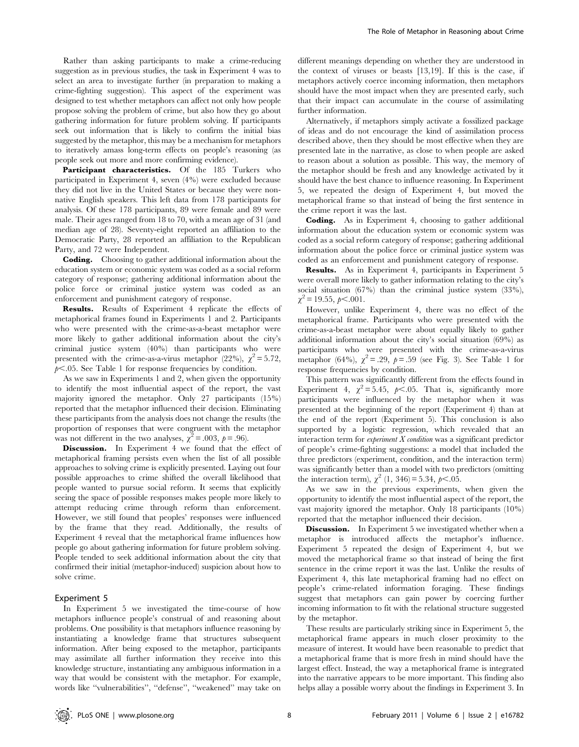Rather than asking participants to make a crime-reducing suggestion as in previous studies, the task in Experiment 4 was to select an area to investigate further (in preparation to making a crime-fighting suggestion). This aspect of the experiment was designed to test whether metaphors can affect not only how people propose solving the problem of crime, but also how they go about gathering information for future problem solving. If participants seek out information that is likely to confirm the initial bias suggested by the metaphor, this may be a mechanism for metaphors to iteratively amass long-term effects on people's reasoning (as people seek out more and more confirming evidence).

Participant characteristics. Of the 185 Turkers who participated in Experiment 4, seven (4%) were excluded because they did not live in the United States or because they were nonnative English speakers. This left data from 178 participants for analysis. Of these 178 participants, 89 were female and 89 were male. Their ages ranged from 18 to 70, with a mean age of 31 (and median age of 28). Seventy-eight reported an affiliation to the Democratic Party, 28 reported an affiliation to the Republican Party, and 72 were Independent.

Coding. Choosing to gather additional information about the education system or economic system was coded as a social reform category of response; gathering additional information about the police force or criminal justice system was coded as an enforcement and punishment category of response.

Results. Results of Experiment 4 replicate the effects of metaphorical frames found in Experiments 1 and 2. Participants who were presented with the crime-as-a-beast metaphor were more likely to gather additional information about the city's criminal justice system (40%) than participants who were presented with the crime-as-a-virus metaphor (22%),  $\chi^2 = 5.72$ ,  $p<.05$ . See Table 1 for response frequencies by condition.

As we saw in Experiments 1 and 2, when given the opportunity to identify the most influential aspect of the report, the vast majority ignored the metaphor. Only 27 participants (15%) reported that the metaphor influenced their decision. Eliminating these participants from the analysis does not change the results (the proportion of responses that were congruent with the metaphor was not different in the two analyses,  $\chi^2 = .003$ ,  $p = .96$ ).

Discussion. In Experiment 4 we found that the effect of metaphorical framing persists even when the list of all possible approaches to solving crime is explicitly presented. Laying out four possible approaches to crime shifted the overall likelihood that people wanted to pursue social reform. It seems that explicitly seeing the space of possible responses makes people more likely to attempt reducing crime through reform than enforcement. However, we still found that peoples' responses were influenced by the frame that they read. Additionally, the results of Experiment 4 reveal that the metaphorical frame influences how people go about gathering information for future problem solving. People tended to seek additional information about the city that confirmed their initial (metaphor-induced) suspicion about how to solve crime.

#### Experiment 5

In Experiment 5 we investigated the time-course of how metaphors influence people's construal of and reasoning about problems. One possibility is that metaphors influence reasoning by instantiating a knowledge frame that structures subsequent information. After being exposed to the metaphor, participants may assimilate all further information they receive into this knowledge structure, instantiating any ambiguous information in a way that would be consistent with the metaphor. For example, words like ''vulnerabilities'', ''defense'', ''weakened'' may take on

different meanings depending on whether they are understood in the context of viruses or beasts [13,19]. If this is the case, if metaphors actively coerce incoming information, then metaphors should have the most impact when they are presented early, such that their impact can accumulate in the course of assimilating further information.

Alternatively, if metaphors simply activate a fossilized package of ideas and do not encourage the kind of assimilation process described above, then they should be most effective when they are presented late in the narrative, as close to when people are asked to reason about a solution as possible. This way, the memory of the metaphor should be fresh and any knowledge activated by it should have the best chance to influence reasoning. In Experiment 5, we repeated the design of Experiment 4, but moved the metaphorical frame so that instead of being the first sentence in the crime report it was the last.

Coding. As in Experiment 4, choosing to gather additional information about the education system or economic system was coded as a social reform category of response; gathering additional information about the police force or criminal justice system was coded as an enforcement and punishment category of response.

Results. As in Experiment 4, participants in Experiment 5 were overall more likely to gather information relating to the city's social situation (67%) than the criminal justice system (33%),  $\chi^2$  = 19.55,  $p<.001$ .

However, unlike Experiment 4, there was no effect of the metaphorical frame. Participants who were presented with the crime-as-a-beast metaphor were about equally likely to gather additional information about the city's social situation (69%) as participants who were presented with the crime-as-a-virus metaphor (64%),  $\chi^2 = .29$ ,  $p = .59$  (see Fig. 3). See Table 1 for response frequencies by condition.

This pattern was significantly different from the effects found in Experiment 4,  $\chi^2 = 5.45$ ,  $p<.05$ . That is, significantly more participants were influenced by the metaphor when it was presented at the beginning of the report (Experiment 4) than at the end of the report (Experiment 5). This conclusion is also supported by a logistic regression, which revealed that an interaction term for *experiment X condition* was a significant predictor of people's crime-fighting suggestions: a model that included the three predictors (experiment, condition, and the interaction term) was significantly better than a model with two predictors (omitting the interaction term),  $\chi^2$  (1, 346) = 5.34,  $p<.05$ .

As we saw in the previous experiments, when given the opportunity to identify the most influential aspect of the report, the vast majority ignored the metaphor. Only 18 participants (10%) reported that the metaphor influenced their decision.

**Discussion.** In Experiment 5 we investigated whether when a metaphor is introduced affects the metaphor's influence. Experiment 5 repeated the design of Experiment 4, but we moved the metaphorical frame so that instead of being the first sentence in the crime report it was the last. Unlike the results of Experiment 4, this late metaphorical framing had no effect on people's crime-related information foraging. These findings suggest that metaphors can gain power by coercing further incoming information to fit with the relational structure suggested by the metaphor.

These results are particularly striking since in Experiment 5, the metaphorical frame appears in much closer proximity to the measure of interest. It would have been reasonable to predict that a metaphorical frame that is more fresh in mind should have the largest effect. Instead, the way a metaphorical frame is integrated into the narrative appears to be more important. This finding also helps allay a possible worry about the findings in Experiment 3. In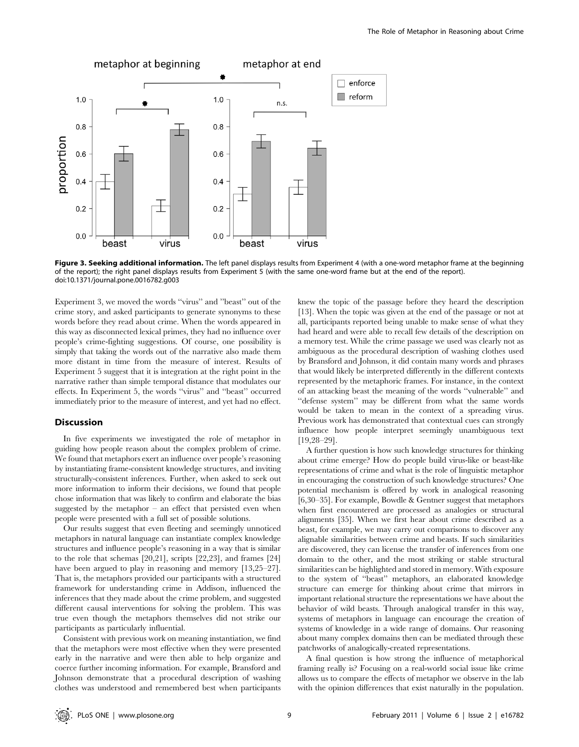

Figure 3. Seeking additional information. The left panel displays results from Experiment 4 (with a one-word metaphor frame at the beginning of the report); the right panel displays results from Experiment 5 (with the same one-word frame but at the end of the report). doi:10.1371/journal.pone.0016782.g003

Experiment 3, we moved the words ''virus'' and ''beast'' out of the crime story, and asked participants to generate synonyms to these words before they read about crime. When the words appeared in this way as disconnected lexical primes, they had no influence over people's crime-fighting suggestions. Of course, one possibility is simply that taking the words out of the narrative also made them more distant in time from the measure of interest. Results of Experiment 5 suggest that it is integration at the right point in the narrative rather than simple temporal distance that modulates our effects. In Experiment 5, the words ''virus'' and ''beast'' occurred immediately prior to the measure of interest, and yet had no effect.

# Discussion

In five experiments we investigated the role of metaphor in guiding how people reason about the complex problem of crime. We found that metaphors exert an influence over people's reasoning by instantiating frame-consistent knowledge structures, and inviting structurally-consistent inferences. Further, when asked to seek out more information to inform their decisions, we found that people chose information that was likely to confirm and elaborate the bias suggested by the metaphor – an effect that persisted even when people were presented with a full set of possible solutions.

Our results suggest that even fleeting and seemingly unnoticed metaphors in natural language can instantiate complex knowledge structures and influence people's reasoning in a way that is similar to the role that schemas [20,21], scripts [22,23], and frames [24] have been argued to play in reasoning and memory  $[13,25-27]$ . That is, the metaphors provided our participants with a structured framework for understanding crime in Addison, influenced the inferences that they made about the crime problem, and suggested different causal interventions for solving the problem. This was true even though the metaphors themselves did not strike our participants as particularly influential.

Consistent with previous work on meaning instantiation, we find that the metaphors were most effective when they were presented early in the narrative and were then able to help organize and coerce further incoming information. For example, Bransford and Johnson demonstrate that a procedural description of washing clothes was understood and remembered best when participants knew the topic of the passage before they heard the description [13]. When the topic was given at the end of the passage or not at all, participants reported being unable to make sense of what they had heard and were able to recall few details of the description on a memory test. While the crime passage we used was clearly not as ambiguous as the procedural description of washing clothes used by Bransford and Johnson, it did contain many words and phrases that would likely be interpreted differently in the different contexts represented by the metaphoric frames. For instance, in the context of an attacking beast the meaning of the words ''vulnerable'' and ''defense system'' may be different from what the same words would be taken to mean in the context of a spreading virus. Previous work has demonstrated that contextual cues can strongly influence how people interpret seemingly unambiguous text [19,28–29].

A further question is how such knowledge structures for thinking about crime emerge? How do people build virus-like or beast-like representations of crime and what is the role of linguistic metaphor in encouraging the construction of such knowledge structures? One potential mechanism is offered by work in analogical reasoning [6,30–35]. For example, Bowdle & Gentner suggest that metaphors when first encountered are processed as analogies or structural alignments [35]. When we first hear about crime described as a beast, for example, we may carry out comparisons to discover any alignable similarities between crime and beasts. If such similarities are discovered, they can license the transfer of inferences from one domain to the other, and the most striking or stable structural similarities can be highlighted and stored in memory. With exposure to the system of ''beast'' metaphors, an elaborated knowledge structure can emerge for thinking about crime that mirrors in important relational structure the representations we have about the behavior of wild beasts. Through analogical transfer in this way, systems of metaphors in language can encourage the creation of systems of knowledge in a wide range of domains. Our reasoning about many complex domains then can be mediated through these patchworks of analogically-created representations.

A final question is how strong the influence of metaphorical framing really is? Focusing on a real-world social issue like crime allows us to compare the effects of metaphor we observe in the lab with the opinion differences that exist naturally in the population.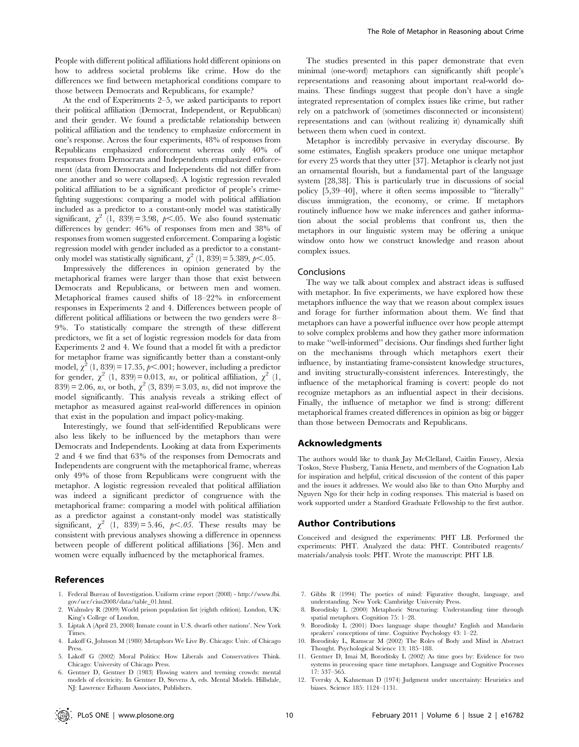People with different political affiliations hold different opinions on how to address societal problems like crime. How do the differences we find between metaphorical conditions compare to those between Democrats and Republicans, for example?

At the end of Experiments 2–5, we asked participants to report their political affiliation (Democrat, Independent, or Republican) and their gender. We found a predictable relationship between political affiliation and the tendency to emphasize enforcement in one's response. Across the four experiments, 48% of responses from Republicans emphasized enforcement whereas only 40% of responses from Democrats and Independents emphasized enforcement (data from Democrats and Independents did not differ from one another and so were collapsed). A logistic regression revealed political affiliation to be a significant predictor of people's crimefighting suggestions: comparing a model with political affiliation included as a predictor to a constant-only model was statistically significant,  $\chi^2$  (1, 839) = 3.98,  $p<.05$ . We also found systematic differences by gender: 46% of responses from men and 38% of responses from women suggested enforcement. Comparing a logistic regression model with gender included as a predictor to a constantonly model was statistically significant,  $\chi^2$  (1, 839) = 5.389,  $p<.05$ .

Impressively the differences in opinion generated by the metaphorical frames were larger than those that exist between Democrats and Republicans, or between men and women. Metaphorical frames caused shifts of 18–22% in enforcement responses in Experiments 2 and 4. Differences between people of different political affiliations or between the two genders were 8– 9%. To statistically compare the strength of these different predictors, we fit a set of logistic regression models for data from Experiments 2 and 4. We found that a model fit with a predictor for metaphor frame was significantly better than a constant-only model,  $\chi^2$  (1, 839) = 17.35,  $p<.001$ ; however, including a predictor for gender,  $\chi^2$  (1, 839) = 0.013, *ns*, or political affiliation,  $\chi^2$  (1,  $(839) = 2.06$ , ns, or both,  $\chi^2$  (3, 839) = 3.03, ns, did not improve the model significantly. This analysis reveals a striking effect of metaphor as measured against real-world differences in opinion that exist in the population and impact policy-making.

Interestingly, we found that self-identified Republicans were also less likely to be influenced by the metaphors than were Democrats and Independents. Looking at data from Experiments 2 and 4 we find that 63% of the responses from Democrats and Independents are congruent with the metaphorical frame, whereas only 49% of those from Republicans were congruent with the metaphor. A logistic regression revealed that political affiliation was indeed a significant predictor of congruence with the metaphorical frame: comparing a model with political affiliation as a predictor against a constant-only model was statistically significant,  $\chi^2$  (1, 839) = 5.46,  $p<.05$ . These results may be consistent with previous analyses showing a difference in openness between people of different political affiliations [36]. Men and women were equally influenced by the metaphorical frames.

## References

- 1. Federal Bureau of Investigation. Uniform crime report (2008) http://www.fbi. gov/ucr/cius2008/data/table\_01.html.
- 2. Walmsley R (2009) World prison population list (eighth edition). London, UK: King's College of London.
- 3. Liptak A (April 23, 2008) Inmate count in U.S. dwarfs other nations'. New York Times.
- 4. Lakoff G, Johnson M (1980) Metaphors We Live By. Chicago: Univ. of Chicago Press.
- 5. Lakoff G (2002) Moral Politics: How Liberals and Conservatives Think. Chicago: University of Chicago Press.
- 6. Gentner D, Gentner D (1983) Flowing waters and teeming crowds: mental models of electricity. In Gentner D, Stevens A, eds. Mental Models. Hillsdale, NJ: Lawrence Erlbaum Associates, Publishers.

The studies presented in this paper demonstrate that even minimal (one-word) metaphors can significantly shift people's representations and reasoning about important real-world domains. These findings suggest that people don't have a single integrated representation of complex issues like crime, but rather rely on a patchwork of (sometimes disconnected or inconsistent) representations and can (without realizing it) dynamically shift between them when cued in context.

Metaphor is incredibly pervasive in everyday discourse. By some estimates, English speakers produce one unique metaphor for every 25 words that they utter [37]. Metaphor is clearly not just an ornamental flourish, but a fundamental part of the language system [28,38]. This is particularly true in discussions of social policy [5,39–40], where it often seems impossible to ''literally'' discuss immigration, the economy, or crime. If metaphors routinely influence how we make inferences and gather information about the social problems that confront us, then the metaphors in our linguistic system may be offering a unique window onto how we construct knowledge and reason about complex issues.

## Conclusions

The way we talk about complex and abstract ideas is suffused with metaphor. In five experiments, we have explored how these metaphors influence the way that we reason about complex issues and forage for further information about them. We find that metaphors can have a powerful influence over how people attempt to solve complex problems and how they gather more information to make ''well-informed'' decisions. Our findings shed further light on the mechanisms through which metaphors exert their influence, by instantiating frame-consistent knowledge structures, and inviting structurally-consistent inferences. Interestingly, the influence of the metaphorical framing is covert: people do not recognize metaphors as an influential aspect in their decisions. Finally, the influence of metaphor we find is strong: different metaphorical frames created differences in opinion as big or bigger than those between Democrats and Republicans.

#### Acknowledgments

The authors would like to thank Jay McClelland, Caitlin Fausey, Alexia Toskos, Steve Flusberg, Tania Henetz, and members of the Cognation Lab for inspiration and helpful, critical discussion of the content of this paper and the issues it addresses. We would also like to than Otto Murphy and Nguyen Ngo for their help in coding responses. This material is based on work supported under a Stanford Graduate Fellowship to the first author.

## Author Contributions

Conceived and designed the experiments: PHT LB. Performed the experiments: PHT. Analyzed the data: PHT. Contributed reagents/ materials/analysis tools: PHT. Wrote the manuscript: PHT LB.

- 7. Gibbs R (1994) The poetics of mind: Figurative thought, language, and understanding. New York: Cambridge University Press.
- 8. Boroditsky L (2000) Metaphoric Structuring: Understanding time through spatial metaphors. Cognition 75: 1–28.
- 9. Boroditsky L (2001) Does language shape thought? English and Mandarin speakers' conceptions of time. Cognitive Psychology 43: 1–22.
- 10. Boroditsky L, Ramscar M (2002) The Roles of Body and Mind in Abstract Thought. Psychological Science 13: 185–188.
- 11. Gentner D, Imai M, Boroditsky L (2002) As time goes by: Evidence for two systems in processing space time metaphors. Language and Cognitive Processes 17: 537–565.
- 12. Tversky A, Kahneman D (1974) Judgment under uncertainty: Heuristics and biases. Science 185: 1124–1131.